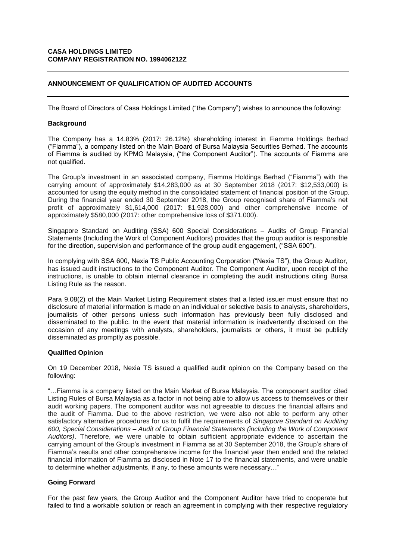### **CASA HOLDINGS LIMITED COMPANY REGISTRATION NO. 199406212Z**

# **ANNOUNCEMENT OF QUALIFICATION OF AUDITED ACCOUNTS**

The Board of Directors of Casa Holdings Limited ("the Company") wishes to announce the following:

### **Background**

The Company has a 14.83% (2017: 26.12%) shareholding interest in Fiamma Holdings Berhad ("Fiamma"), a company listed on the Main Board of Bursa Malaysia Securities Berhad. The accounts of Fiamma is audited by KPMG Malaysia, ("the Component Auditor"). The accounts of Fiamma are not qualified.

The Group's investment in an associated company, Fiamma Holdings Berhad ("Fiamma") with the carrying amount of approximately \$14,283,000 as at 30 September 2018 (2017: \$12,533,000) is accounted for using the equity method in the consolidated statement of financial position of the Group. During the financial year ended 30 September 2018, the Group recognised share of Fiamma's net profit of approximately \$1,614,000 (2017: \$1,928,000) and other comprehensive income of approximately \$580,000 (2017: other comprehensive loss of \$371,000).

Singapore Standard on Auditing (SSA) 600 Special Considerations – Audits of Group Financial Statements (Including the Work of Component Auditors) provides that the group auditor is responsible for the direction, supervision and performance of the group audit engagement, ("SSA 600").

In complying with SSA 600, Nexia TS Public Accounting Corporation ("Nexia TS"), the Group Auditor, has issued audit instructions to the Component Auditor. The Component Auditor, upon receipt of the instructions, is unable to obtain internal clearance in completing the audit instructions citing Bursa Listing Rule as the reason.

Para 9.08(2) of the Main Market Listing Requirement states that a listed issuer must ensure that no disclosure of material information is made on an individual or selective basis to analysts, shareholders, journalists of other persons unless such information has previously been fully disclosed and disseminated to the public. In the event that material information is inadvertently disclosed on the occasion of any meetings with analysts, shareholders, journalists or others, it must be publicly disseminated as promptly as possible.

### **Qualified Opinion**

On 19 December 2018, Nexia TS issued a qualified audit opinion on the Company based on the following:

"…Fiamma is a company listed on the Main Market of Bursa Malaysia. The component auditor cited Listing Rules of Bursa Malaysia as a factor in not being able to allow us access to themselves or their audit working papers. The component auditor was not agreeable to discuss the financial affairs and the audit of Fiamma. Due to the above restriction, we were also not able to perform any other satisfactory alternative procedures for us to fulfil the requirements of *Singapore Standard on Auditing 600, Special Considerations – Audit of Group Financial Statements (including the Work of Component Auditors)*. Therefore, we were unable to obtain sufficient appropriate evidence to ascertain the carrying amount of the Group's investment in Fiamma as at 30 September 2018, the Group's share of Fiamma's results and other comprehensive income for the financial year then ended and the related financial information of Fiamma as disclosed in Note 17 to the financial statements, and were unable to determine whether adjustments, if any, to these amounts were necessary…"

# **Going Forward**

For the past few years, the Group Auditor and the Component Auditor have tried to cooperate but failed to find a workable solution or reach an agreement in complying with their respective regulatory